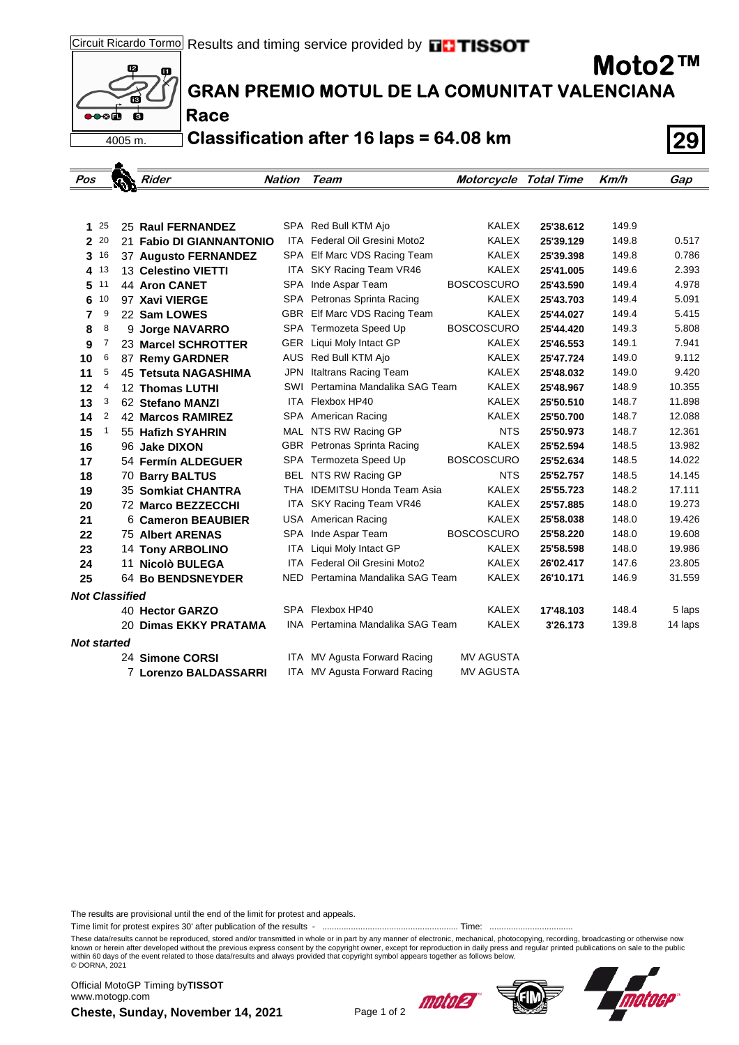

 $\bullet$ 

## **GRAN PREMIO MOTUL DE LA COMUNITAT VALENCIANA**

**Race**

**Classification after 16 laps = 64.08 km 29**

| Pos                   |        |  | Rider                                 | <b>Nation</b> | Team                                                    | <b>Motorcycle Total Time</b> |                        | Km/h           | Gap              |
|-----------------------|--------|--|---------------------------------------|---------------|---------------------------------------------------------|------------------------------|------------------------|----------------|------------------|
|                       |        |  |                                       |               |                                                         |                              |                        |                |                  |
|                       |        |  |                                       |               |                                                         |                              |                        |                |                  |
| 1                     | 25     |  | 25 Raul FERNANDEZ                     |               | SPA Red Bull KTM Ajo                                    | <b>KALEX</b>                 | 25'38.612              | 149.9          |                  |
|                       | 2 20   |  | 21 Fabio DI GIANNANTONIO              |               | ITA Federal Oil Gresini Moto2                           | <b>KALEX</b>                 | 25'39.129              | 149.8          | 0.517            |
| 3                     | 16     |  | 37 Augusto FERNANDEZ                  |               | SPA Elf Marc VDS Racing Team                            | <b>KALEX</b>                 | 25'39.398              | 149.8          | 0.786            |
| 4                     | 13     |  | 13 Celestino VIETTI                   |               | ITA SKY Racing Team VR46                                | <b>KALEX</b>                 | 25'41.005              | 149.6<br>149.4 | 2.393            |
| 5                     | 11     |  | <b>44 Aron CANET</b>                  |               | SPA Inde Aspar Team                                     | <b>BOSCOSCURO</b>            | 25'43.590              |                | 4.978            |
| 6                     | 10     |  | 97 Xavi VIERGE                        |               | SPA Petronas Sprinta Racing                             | <b>KALEX</b>                 | 25'43.703              | 149.4          | 5.091            |
| 7                     | 9      |  | 22 Sam LOWES                          |               | GBR Elf Marc VDS Racing Team                            | <b>KALEX</b>                 | 25'44.027              | 149.4          | 5.415            |
| 8                     | 8      |  | 9 Jorge NAVARRO                       |               | SPA Termozeta Speed Up                                  | <b>BOSCOSCURO</b>            | 25'44.420              | 149.3          | 5.808            |
| 9                     | 7      |  | 23 Marcel SCHROTTER                   |               | <b>GER</b> Liqui Moly Intact GP<br>AUS Red Bull KTM Ajo | <b>KALEX</b><br><b>KALEX</b> | 25'46.553              | 149.1<br>149.0 | 7.941<br>9.112   |
| 10                    | 6<br>5 |  | 87 Remy GARDNER                       |               | JPN Italtrans Racing Team                               | <b>KALEX</b>                 | 25'47.724<br>25'48.032 | 149.0          | 9.420            |
| 11                    |        |  | 45 Tetsuta NAGASHIMA                  |               | SWI Pertamina Mandalika SAG Team                        | <b>KALEX</b>                 |                        | 148.9          |                  |
| 12                    | 4<br>3 |  | 12 Thomas LUTHI                       |               | ITA Flexbox HP40                                        | <b>KALEX</b>                 | 25'48.967              | 148.7          | 10.355           |
| 13                    | 2      |  | 62 Stefano MANZI                      |               |                                                         | <b>KALEX</b>                 | 25'50.510<br>25'50.700 | 148.7          | 11.898<br>12.088 |
| 14                    | 1      |  | <b>42 Marcos RAMIREZ</b>              |               | SPA American Racing<br>MAL NTS RW Racing GP             | <b>NTS</b>                   | 25'50.973              | 148.7          | 12.361           |
| 15                    |        |  | 55 Hafizh SYAHRIN                     |               | GBR Petronas Sprinta Racing                             | <b>KALEX</b>                 | 25'52.594              | 148.5          | 13.982           |
| 16<br>17              |        |  | 96 Jake DIXON<br>54 Fermín ALDEGUER   |               | SPA Termozeta Speed Up                                  | <b>BOSCOSCURO</b>            | 25'52.634              | 148.5          | 14.022           |
|                       |        |  |                                       |               | BEL NTS RW Racing GP                                    | <b>NTS</b>                   | 25'52.757              | 148.5          | 14.145           |
| 18<br>19              |        |  | 70 Barry BALTUS<br>35 Somkiat CHANTRA |               | THA IDEMITSU Honda Team Asia                            | <b>KALEX</b>                 | 25'55.723              | 148.2          | 17.111           |
|                       |        |  | 72 Marco BEZZECCHI                    |               | ITA SKY Racing Team VR46                                | <b>KALEX</b>                 | 25'57.885              | 148.0          | 19.273           |
| 20<br>21              |        |  | 6 Cameron BEAUBIER                    |               | USA American Racing                                     | KALEX                        | 25'58.038              | 148.0          | 19.426           |
| 22                    |        |  | <b>75 Albert ARENAS</b>               |               | SPA Inde Aspar Team                                     | <b>BOSCOSCURO</b>            | 25'58.220              | 148.0          | 19.608           |
| 23                    |        |  | <b>14 Tony ARBOLINO</b>               |               | ITA Liqui Moly Intact GP                                | <b>KALEX</b>                 | 25'58.598              | 148.0          | 19.986           |
| 24                    |        |  | 11 Nicolò BULEGA                      |               | ITA Federal Oil Gresini Moto2                           | <b>KALEX</b>                 | 26'02.417              | 147.6          | 23.805           |
| 25                    |        |  | <b>64 Bo BENDSNEYDER</b>              |               | NED Pertamina Mandalika SAG Team                        | <b>KALEX</b>                 | 26'10.171              | 146.9          | 31.559           |
|                       |        |  |                                       |               |                                                         |                              |                        |                |                  |
| <b>Not Classified</b> |        |  |                                       |               | SPA Flexbox HP40                                        |                              |                        |                |                  |
|                       |        |  | 40 Hector GARZO                       |               |                                                         | <b>KALEX</b>                 | 17'48.103              | 148.4          | 5 laps           |
|                       |        |  | 20 Dimas EKKY PRATAMA                 |               | INA Pertamina Mandalika SAG Team                        | <b>KALEX</b>                 | 3'26.173               | 139.8          | 14 laps          |
| <b>Not started</b>    |        |  |                                       |               |                                                         |                              |                        |                |                  |
|                       |        |  | 24 Simone CORSI                       |               | ITA MV Agusta Forward Racing                            | MV AGUSTA                    |                        |                |                  |
|                       |        |  | 7 Lorenzo BALDASSARRI                 |               | ITA MV Agusta Forward Racing                            | MV AGUSTA                    |                        |                |                  |

The results are provisional until the end of the limit for protest and appeals.

Time limit for protest expires 30' after publication of the results - ......................................................... Time: ...................................

These data/results cannot be reproduced, stored and/or transmitted in whole or in part by any manner of electronic, mechanical, photocopying, recording, broadcasting or otherwise now<br>known or herein after developed without within 60 days of the event related to those data/results and always provided that copyright symbol appears together as follows below. © DORNA, 2021

**Cheste, Sunday, November 14, 2021** Page 1 of 2 Official MotoGP Timing by **TISSOT**www.motogp.com







**Moto2™**